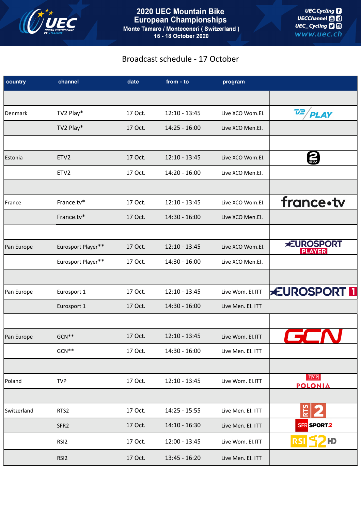

## Broadcast schedule - 17 October

| country     | channel            | date    | $from - to$     | program           |                                    |
|-------------|--------------------|---------|-----------------|-------------------|------------------------------------|
|             |                    |         |                 |                   |                                    |
| Denmark     | TV2 Play*          | 17 Oct. | $12:10 - 13:45$ | Live XCO Wom.El.  | $\tau$<br><b>PLAY</b>              |
|             | TV2 Play*          | 17 Oct. | $14:25 - 16:00$ | Live XCO Men.EI.  |                                    |
|             |                    |         |                 |                   |                                    |
| Estonia     | ETV2               | 17 Oct. | $12:10 - 13:45$ | Live XCO Wom.EI.  | $\mathbf{2}_{\mathbb{R}}$          |
|             | ETV2               | 17 Oct. | $14:20 - 16:00$ | Live XCO Men.El.  |                                    |
|             |                    |         |                 |                   |                                    |
| France      | France.tv*         | 17 Oct. | $12:10 - 13:45$ | Live XCO Wom.EI.  | france.tv                          |
|             | France.tv*         | 17 Oct. | 14:30 - 16:00   | Live XCO Men.EI.  |                                    |
|             |                    |         |                 |                   |                                    |
| Pan Europe  | Eurosport Player** | 17 Oct. | $12:10 - 13:45$ | Live XCO Wom.El.  | <b>*EUROSPORT</b><br><b>PLAYER</b> |
|             | Eurosport Player** | 17 Oct. | 14:30 - 16:00   | Live XCO Men.El.  |                                    |
|             |                    |         |                 |                   |                                    |
| Pan Europe  | Eurosport 1        | 17 Oct. | $12:10 - 13:45$ | Live Wom. EI.ITT  | <b>EUROSPORT II</b>                |
|             | Eurosport 1        | 17 Oct. | 14:30 - 16:00   | Live Men. El. ITT |                                    |
|             |                    |         |                 |                   |                                    |
| Pan Europe  | GCN**              | 17 Oct. | $12:10 - 13:45$ | Live Wom. EI.ITT  |                                    |
|             | $GCN**$            | 17 Oct. | 14:30 - 16:00   | Live Men. El. ITT |                                    |
|             |                    |         |                 |                   |                                    |
| Poland      | <b>TVP</b>         | 17 Oct. | $12:10 - 13:45$ | Live Wom. EI.ITT  | TVP<br><b>POLONIA</b>              |
|             |                    |         |                 |                   |                                    |
| Switzerland | RTS2               | 17 Oct. | $14:25 - 15:55$ | Live Men. El. ITT | n<br>S                             |
|             | SFR <sub>2</sub>   | 17 Oct. | 14:10 - 16:30   | Live Men. El. ITT | <b>SFR</b> SPORT2                  |
|             | RSI <sub>2</sub>   | 17 Oct. | 12:00 - 13:45   | Live Wom. EI.ITT  | HD<br><b>RS</b>                    |
|             | RSI <sub>2</sub>   | 17 Oct. | $13:45 - 16:20$ | Live Men. El. ITT |                                    |